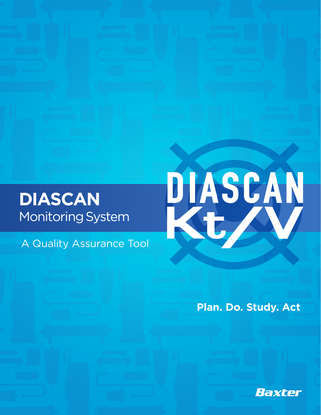### **DIASCAN**  Monitoring System

A Quality Assurance Tool



**Plan. Do. Study. Act**

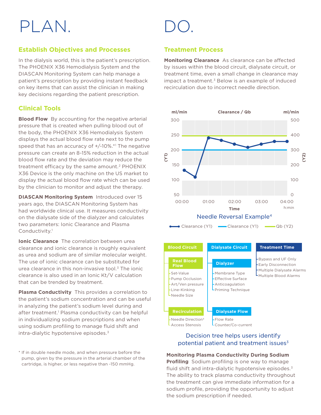## PLAN.

### **Establish Objectives and Processes**

In the dialysis world, this is the patient's prescription. The PHOENIX X36 Hemodialysis System and the DIASCAN Monitoring System can help manage a patient's prescription by providing instant feedback on key items that can assist the clinician in making key decisions regarding the patient prescription.

### **Clinical Tools**

**Blood Flow** By accounting for the negative arterial pressure that is created when pulling blood out of the body, the PHOENIX X36 Hemodialysis System displays the actual blood flow rate next to the pump speed that has an accuracy of +/-10%.\*1 The negative pressure can create an 8-15% reduction in the actual blood flow rate and the deviation may reduce the treatment efficacy by the same amount.<sup>2</sup> PHOENIX X36 Device is the only machine on the US market to display the actual blood flow rate which can be used by the clinician to monitor and adjust the therapy.

**DIASCAN Monitoring System** Introduced over 15 years ago, the DIASCAN Monitoring System has had worldwide clinical use. It measures conductivity on the dialysate side of the dialyzer and calculates two parameters: Ionic Clearance and Plasma Conductivity.<sup>1</sup>

**Ionic Clearance** The correlation between urea clearance and ionic clearance is roughly equivalent as urea and sodium are of similar molecular weight. The use of ionic clearance can be substituted for urea clearance in this non-invasive tool.3 The ionic clearance is also used in an Ionic Kt/V calculation that can be trended by treatment.

**Plasma Conductivity** This provides a correlation to the patient's sodium concentration and can be useful in analyzing the patient's sodium level during and after treatment.<sup>1</sup> Plasma conductivity can be helpful in individualizing sodium prescriptions and when using sodium profiling to manage fluid shift and intra-dialytic hypotensive episodes.3

\* If in double needle mode, and when pressure before the pump, given by the pressure in the arterial chamber of the cartridge, is higher, or less negative than -150 mmHg.

### **Treatment Process**

**Monitoring Clearance** As clearance can be affected by issues within the blood circuit, dialysate circuit, or treatment time, even a small change in clearance may impact a treatment. $3$  Below is an example of induced recirculation due to incorrect needle direction.



| <b>Blood Circuit</b>                                                                                                     | <b>Dialysate Circuit</b>                                                                                   | <b>Treatment Time</b>                                                                                            |
|--------------------------------------------------------------------------------------------------------------------------|------------------------------------------------------------------------------------------------------------|------------------------------------------------------------------------------------------------------------------|
| <b>Real Blood</b><br><b>Flow</b><br>-Set-Value<br>- Pump Occlusion<br>-Art/Ven pressure<br>-Line-Kinking<br>LNeedle Size | <b>Dialyzer</b><br>-Membrane Type<br>-Effective Surface<br>- Anticoagulation<br><b>-</b> Priming Technique | -Bypass and UF Only<br><b>Early Disconnection</b><br>Multiple Dialysate Alarms<br><b>L</b> Multiple Blood Alarms |
| <b>Recirculation</b>                                                                                                     | <b>Dialysate Flow</b>                                                                                      |                                                                                                                  |
| -Needle Direction <sup>4</sup><br>- Access Stenosis                                                                      | -Flow Rate<br>-Counter/Co-current                                                                          |                                                                                                                  |

### Decision tree helps users identify potential patient and treatment issues $3$

**Monitoring Plasma Conductivity During Sodium Profiling** Sodium profiling is one way to manage fluid shift and intra-dialytic hypotensive episodes.3 The ability to track plasma conductivity throughout the treatment can give immediate information for a sodium profile, providing the opportunity to adjust the sodium prescription if needed.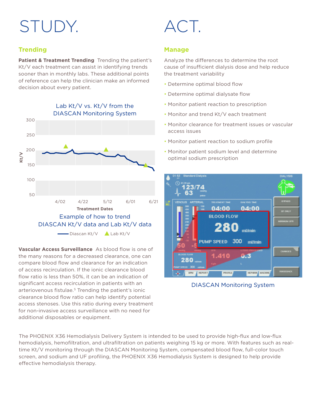# STUDY. ACT.

### **Trending**

**Patient & Treatment Trending** Trending the patient's Kt/V each treatment can assist in identifying trends sooner than in monthly labs. These additional points of reference can help the clinician make an informed decision about every patient.



**Vascular Access Surveillance** As blood flow is one of the many reasons for a decreased clearance, one can compare blood flow and clearance for an indication of access recirculation. If the ionic clearance blood flow ratio is less than 50%, it can be an indication of significant access recirculation in patients with an arteriovenous fistulae.<sup>5</sup> Trending the patient's ionic clearance blood flow ratio can help identify potential access stenoses. Use this ratio during every treatment for non-invasive access surveillance with no need for additional disposables or equipment.

### **Manage**

Analyze the differences to determine the root cause of insufficient dialysis dose and help reduce the treatment variability

- Determine optimal blood flow
- Determine optimal dialysate flow
- Monitor patient reaction to prescription
- Monitor and trend Kt/V each treatment
- Monitor clearance for treatment issues or vascular access issues
- Monitor patient reaction to sodium profile
- Monitor patient sodium level and determine optimal sodium prescription



DIASCAN Monitoring System

The PHOENIX X36 Hemodialysis Delivery System is intended to be used to provide high-flux and low-flux hemodialysis, hemofiltration, and ultrafiltration on patients weighing 15 kg or more. With features such as realtime Kt/V monitoring through the DIASCAN Monitoring System, compensated blood flow, full-color touch screen, and sodium and UF profiling, the PHOENIX X36 Hemodialysis System is designed to help provide effective hemodialysis therapy.